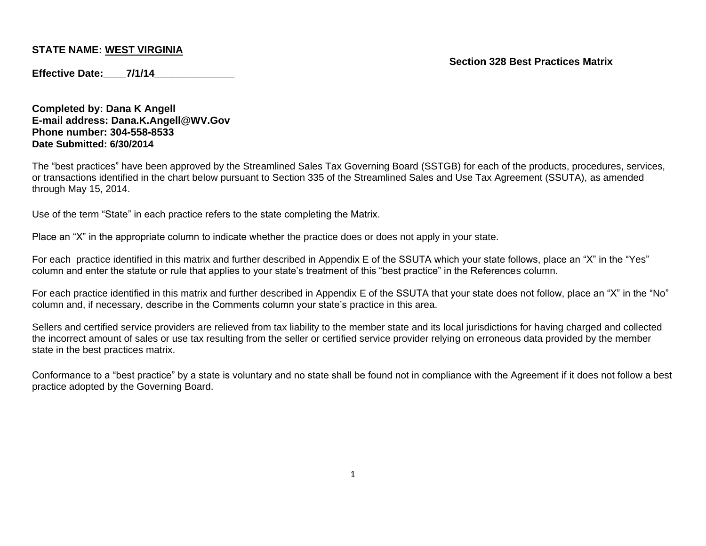**Section 328 Best Practices Matrix**

**Effective Date: 7/1/14** 

**Completed by: Dana K Angell E-mail address: Dana.K.Angell@WV.Gov Phone number: 304-558-8533 Date Submitted: 6/30/2014**

The "best practices" have been approved by the Streamlined Sales Tax Governing Board (SSTGB) for each of the products, procedures, services, or transactions identified in the chart below pursuant to Section 335 of the Streamlined Sales and Use Tax Agreement (SSUTA), as amended through May 15, 2014.

Use of the term "State" in each practice refers to the state completing the Matrix.

Place an "X" in the appropriate column to indicate whether the practice does or does not apply in your state.

For each practice identified in this matrix and further described in Appendix E of the SSUTA which your state follows, place an "X" in the "Yes" column and enter the statute or rule that applies to your state's treatment of this "best practice" in the References column.

For each practice identified in this matrix and further described in Appendix E of the SSUTA that your state does not follow, place an "X" in the "No" column and, if necessary, describe in the Comments column your state's practice in this area.

Sellers and certified service providers are relieved from tax liability to the member state and its local jurisdictions for having charged and collected the incorrect amount of sales or use tax resulting from the seller or certified service provider relying on erroneous data provided by the member state in the best practices matrix.

Conformance to a "best practice" by a state is voluntary and no state shall be found not in compliance with the Agreement if it does not follow a best practice adopted by the Governing Board.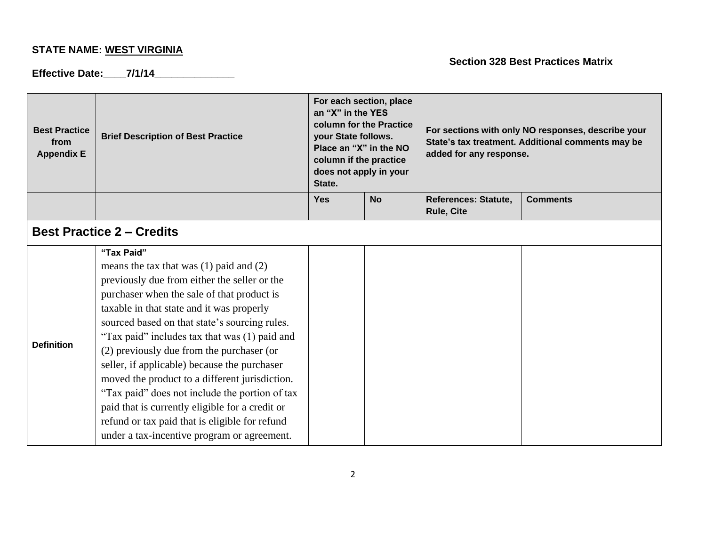# **Effective Date:\_\_\_\_7/1/14\_\_\_\_\_\_\_\_\_\_\_\_\_\_**

| <b>Best Practice</b><br>from<br><b>Appendix E</b> | <b>Brief Description of Best Practice</b>                                                                                                                                                                                                                                                                                                                                                                                                                                                                                                                                                                                                                   | For each section, place<br>an "X" in the YES<br>column for the Practice<br>your State follows.<br>Place an "X" in the NO<br>column if the practice<br>does not apply in your<br>State. |           | For sections with only NO responses, describe your<br>State's tax treatment. Additional comments may be<br>added for any response. |                 |
|---------------------------------------------------|-------------------------------------------------------------------------------------------------------------------------------------------------------------------------------------------------------------------------------------------------------------------------------------------------------------------------------------------------------------------------------------------------------------------------------------------------------------------------------------------------------------------------------------------------------------------------------------------------------------------------------------------------------------|----------------------------------------------------------------------------------------------------------------------------------------------------------------------------------------|-----------|------------------------------------------------------------------------------------------------------------------------------------|-----------------|
|                                                   |                                                                                                                                                                                                                                                                                                                                                                                                                                                                                                                                                                                                                                                             | <b>Yes</b>                                                                                                                                                                             | <b>No</b> | <b>References: Statute,</b><br><b>Rule, Cite</b>                                                                                   | <b>Comments</b> |
|                                                   | <b>Best Practice 2 – Credits</b>                                                                                                                                                                                                                                                                                                                                                                                                                                                                                                                                                                                                                            |                                                                                                                                                                                        |           |                                                                                                                                    |                 |
| <b>Definition</b>                                 | "Tax Paid"<br>means the tax that was $(1)$ paid and $(2)$<br>previously due from either the seller or the<br>purchaser when the sale of that product is<br>taxable in that state and it was properly<br>sourced based on that state's sourcing rules.<br>"Tax paid" includes tax that was (1) paid and<br>(2) previously due from the purchaser (or<br>seller, if applicable) because the purchaser<br>moved the product to a different jurisdiction.<br>"Tax paid" does not include the portion of tax<br>paid that is currently eligible for a credit or<br>refund or tax paid that is eligible for refund<br>under a tax-incentive program or agreement. |                                                                                                                                                                                        |           |                                                                                                                                    |                 |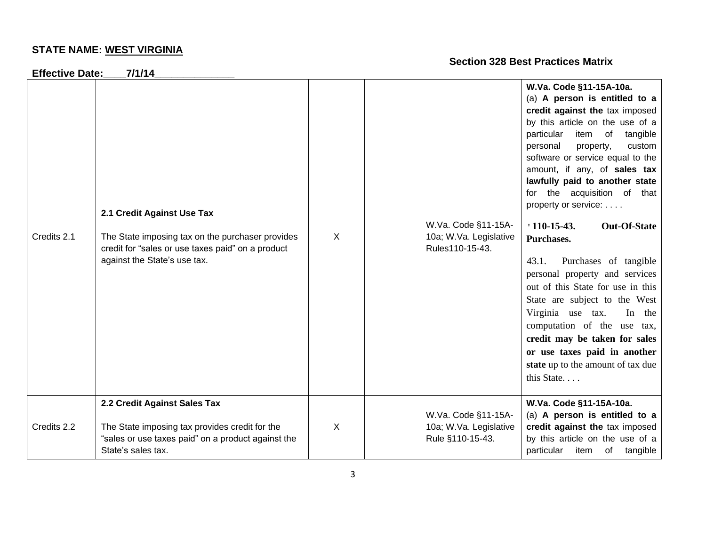| <b>Effective Date:</b> | 7/1/14                                                                                                                                                              |   |                                                                   |                                                                                                                                                                                                                                                                                                                                                                                                                                                                                                                                                                                                                                                                                                                                                     |
|------------------------|---------------------------------------------------------------------------------------------------------------------------------------------------------------------|---|-------------------------------------------------------------------|-----------------------------------------------------------------------------------------------------------------------------------------------------------------------------------------------------------------------------------------------------------------------------------------------------------------------------------------------------------------------------------------------------------------------------------------------------------------------------------------------------------------------------------------------------------------------------------------------------------------------------------------------------------------------------------------------------------------------------------------------------|
| Credits 2.1            | 2.1 Credit Against Use Tax<br>The State imposing tax on the purchaser provides<br>credit for "sales or use taxes paid" on a product<br>against the State's use tax. | X | W.Va. Code §11-15A-<br>10a; W.Va. Legislative<br>Rules110-15-43.  | W.Va. Code §11-15A-10a.<br>(a) A person is entitled to a<br>credit against the tax imposed<br>by this article on the use of a<br>particular<br>item of<br>tangible<br>custom<br>personal<br>property,<br>software or service equal to the<br>amount, if any, of sales tax<br>lawfully paid to another state<br>for the acquisition of that<br>property or service:<br>$110-15-43.$<br><b>Out-Of-State</b><br>Purchases.<br>Purchases of tangible<br>43.1.<br>personal property and services<br>out of this State for use in this<br>State are subject to the West<br>Virginia use tax.<br>In the<br>computation of the use tax,<br>credit may be taken for sales<br>or use taxes paid in another<br>state up to the amount of tax due<br>this State |
| Credits 2.2            | 2.2 Credit Against Sales Tax<br>The State imposing tax provides credit for the<br>"sales or use taxes paid" on a product against the<br>State's sales tax.          | X | W.Va. Code §11-15A-<br>10a; W.Va. Legislative<br>Rule §110-15-43. | W.Va. Code §11-15A-10a.<br>(a) A person is entitled to a<br>credit against the tax imposed<br>by this article on the use of a<br>particular item of<br>tangible                                                                                                                                                                                                                                                                                                                                                                                                                                                                                                                                                                                     |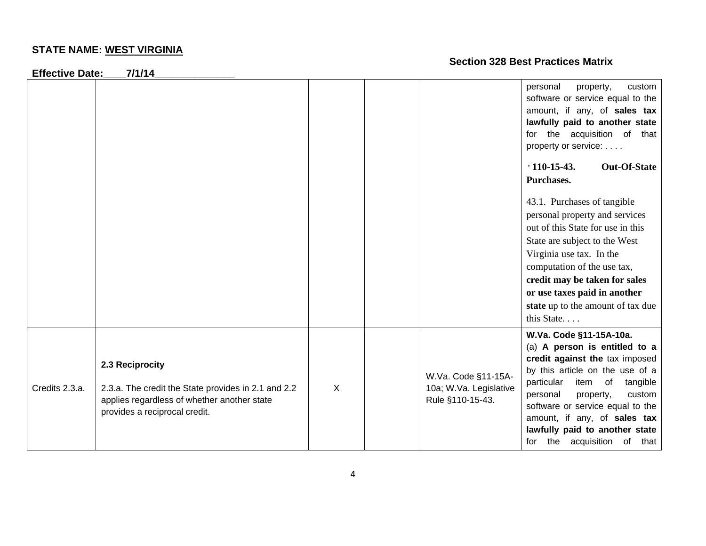**Effective Date:\_\_\_\_7/1/14\_\_\_\_\_\_\_\_\_\_\_\_\_\_**

|                |                                                                                                                                                        |   |                                                                   | personal<br>property,<br>custom<br>software or service equal to the<br>amount, if any, of sales tax<br>lawfully paid to another state<br>for the acquisition of that<br>property or service:<br>$110-15-43.$<br><b>Out-Of-State</b><br>Purchases.<br>43.1. Purchases of tangible<br>personal property and services<br>out of this State for use in this<br>State are subject to the West<br>Virginia use tax. In the<br>computation of the use tax,<br>credit may be taken for sales<br>or use taxes paid in another<br>state up to the amount of tax due<br>this State |
|----------------|--------------------------------------------------------------------------------------------------------------------------------------------------------|---|-------------------------------------------------------------------|-------------------------------------------------------------------------------------------------------------------------------------------------------------------------------------------------------------------------------------------------------------------------------------------------------------------------------------------------------------------------------------------------------------------------------------------------------------------------------------------------------------------------------------------------------------------------|
| Credits 2.3.a. | 2.3 Reciprocity<br>2.3.a. The credit the State provides in 2.1 and 2.2<br>applies regardless of whether another state<br>provides a reciprocal credit. | X | W.Va. Code §11-15A-<br>10a; W.Va. Legislative<br>Rule §110-15-43. | W.Va. Code §11-15A-10a.<br>(a) A person is entitled to a<br>credit against the tax imposed<br>by this article on the use of a<br>particular<br>item of<br>tangible<br>personal<br>custom<br>property,<br>software or service equal to the<br>amount, if any, of sales tax<br>lawfully paid to another state<br>for the acquisition of that                                                                                                                                                                                                                              |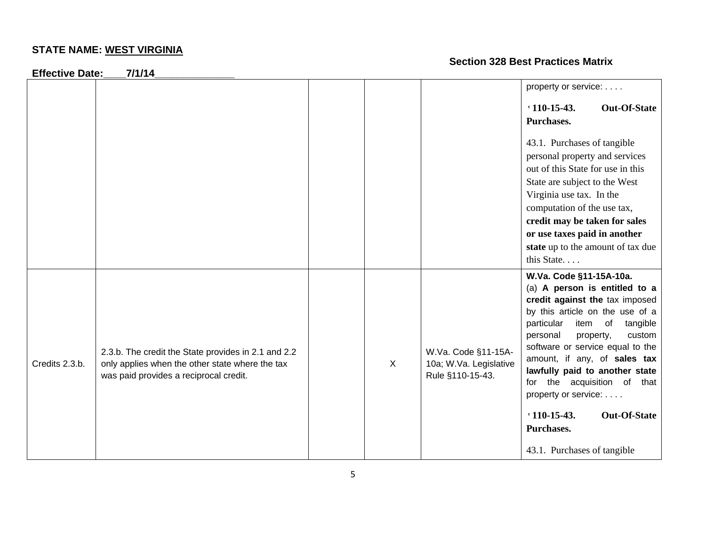**Effective Date:\_\_\_\_7/1/14\_\_\_\_\_\_\_\_\_\_\_\_\_\_**

|                |                                                                                                                                                  |              |                                                                   | property or service:                                                                                                                                                                                                                                                                                                                                                  |
|----------------|--------------------------------------------------------------------------------------------------------------------------------------------------|--------------|-------------------------------------------------------------------|-----------------------------------------------------------------------------------------------------------------------------------------------------------------------------------------------------------------------------------------------------------------------------------------------------------------------------------------------------------------------|
|                |                                                                                                                                                  |              |                                                                   | $110-15-43.$<br><b>Out-Of-State</b>                                                                                                                                                                                                                                                                                                                                   |
|                |                                                                                                                                                  |              |                                                                   | Purchases.                                                                                                                                                                                                                                                                                                                                                            |
|                |                                                                                                                                                  |              |                                                                   | 43.1. Purchases of tangible<br>personal property and services<br>out of this State for use in this<br>State are subject to the West<br>Virginia use tax. In the<br>computation of the use tax,<br>credit may be taken for sales<br>or use taxes paid in another                                                                                                       |
|                |                                                                                                                                                  |              |                                                                   | state up to the amount of tax due                                                                                                                                                                                                                                                                                                                                     |
|                |                                                                                                                                                  |              |                                                                   | this State                                                                                                                                                                                                                                                                                                                                                            |
| Credits 2.3.b. | 2.3.b. The credit the State provides in 2.1 and 2.2<br>only applies when the other state where the tax<br>was paid provides a reciprocal credit. | $\mathsf{X}$ | W.Va. Code §11-15A-<br>10a; W.Va. Legislative<br>Rule §110-15-43. | W.Va. Code §11-15A-10a.<br>(a) A person is entitled to a<br>credit against the tax imposed<br>by this article on the use of a<br>particular<br>item<br>of<br>tangible<br>custom<br>personal<br>property,<br>software or service equal to the<br>amount, if any, of sales tax<br>lawfully paid to another state<br>for the acquisition of that<br>property or service: |
|                |                                                                                                                                                  |              |                                                                   | $110-15-43.$<br><b>Out-Of-State</b><br>Purchases.                                                                                                                                                                                                                                                                                                                     |
|                |                                                                                                                                                  |              |                                                                   | 43.1. Purchases of tangible                                                                                                                                                                                                                                                                                                                                           |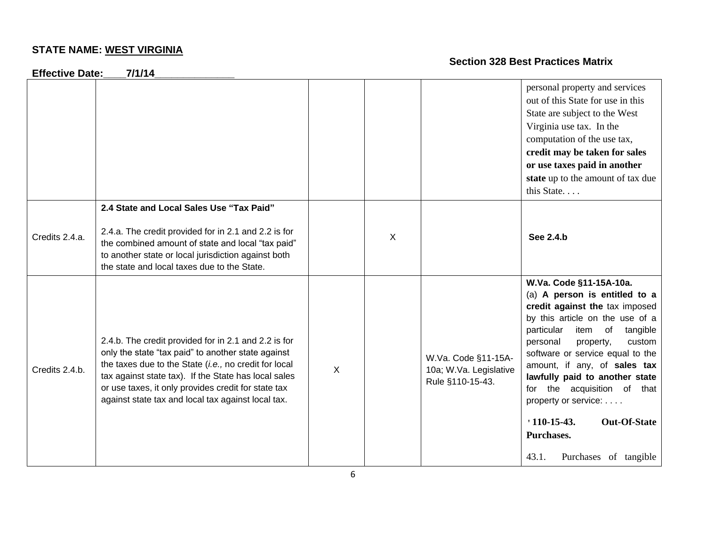**Effective Date:\_\_\_\_7/1/14\_\_\_\_\_\_\_\_\_\_\_\_\_\_**

|                |                                                                                                                                                                                                                                                                                                                                          |   |              |                                                                   | personal property and services<br>out of this State for use in this<br>State are subject to the West<br>Virginia use tax. In the<br>computation of the use tax,<br>credit may be taken for sales<br>or use taxes paid in another<br>state up to the amount of tax due<br>this State                                                                                                                                                                            |
|----------------|------------------------------------------------------------------------------------------------------------------------------------------------------------------------------------------------------------------------------------------------------------------------------------------------------------------------------------------|---|--------------|-------------------------------------------------------------------|----------------------------------------------------------------------------------------------------------------------------------------------------------------------------------------------------------------------------------------------------------------------------------------------------------------------------------------------------------------------------------------------------------------------------------------------------------------|
| Credits 2.4.a. | 2.4 State and Local Sales Use "Tax Paid"<br>2.4.a. The credit provided for in 2.1 and 2.2 is for<br>the combined amount of state and local "tax paid"<br>to another state or local jurisdiction against both<br>the state and local taxes due to the State.                                                                              |   | $\mathsf{X}$ |                                                                   | See 2.4.b                                                                                                                                                                                                                                                                                                                                                                                                                                                      |
| Credits 2.4.b. | 2.4.b. The credit provided for in 2.1 and 2.2 is for<br>only the state "tax paid" to another state against<br>the taxes due to the State (i.e., no credit for local<br>tax against state tax). If the State has local sales<br>or use taxes, it only provides credit for state tax<br>against state tax and local tax against local tax. | X |              | W.Va. Code §11-15A-<br>10a; W.Va. Legislative<br>Rule §110-15-43. | W.Va. Code §11-15A-10a.<br>(a) A person is entitled to a<br>credit against the tax imposed<br>by this article on the use of a<br>particular<br>item of<br>tangible<br>personal<br>property,<br>custom<br>software or service equal to the<br>amount, if any, of sales tax<br>lawfully paid to another state<br>for the acquisition of that<br>property or service:<br>$110 - 15 - 43$ .<br><b>Out-Of-State</b><br>Purchases.<br>Purchases of tangible<br>43.1. |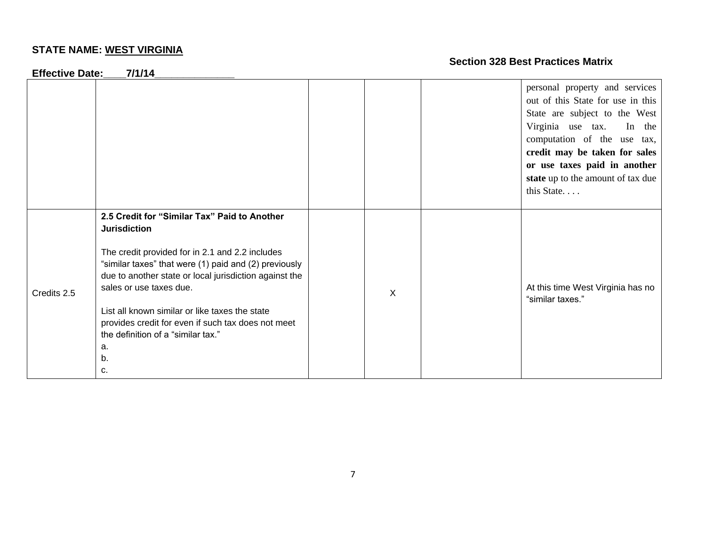**Effective Date:\_\_\_\_7/1/14\_\_\_\_\_\_\_\_\_\_\_\_\_\_**

|             |                                                                                                                                                                                                                                                                                                                                                                                                                                      |   | personal property and services<br>out of this State for use in this<br>State are subject to the West<br>Virginia use tax. In the<br>computation of the use tax,<br>credit may be taken for sales |
|-------------|--------------------------------------------------------------------------------------------------------------------------------------------------------------------------------------------------------------------------------------------------------------------------------------------------------------------------------------------------------------------------------------------------------------------------------------|---|--------------------------------------------------------------------------------------------------------------------------------------------------------------------------------------------------|
|             |                                                                                                                                                                                                                                                                                                                                                                                                                                      |   | or use taxes paid in another<br>state up to the amount of tax due<br>this State                                                                                                                  |
| Credits 2.5 | 2.5 Credit for "Similar Tax" Paid to Another<br><b>Jurisdiction</b><br>The credit provided for in 2.1 and 2.2 includes<br>"similar taxes" that were (1) paid and (2) previously<br>due to another state or local jurisdiction against the<br>sales or use taxes due.<br>List all known similar or like taxes the state<br>provides credit for even if such tax does not meet<br>the definition of a "similar tax."<br>а.<br>b.<br>c. | X | At this time West Virginia has no<br>"similar taxes."                                                                                                                                            |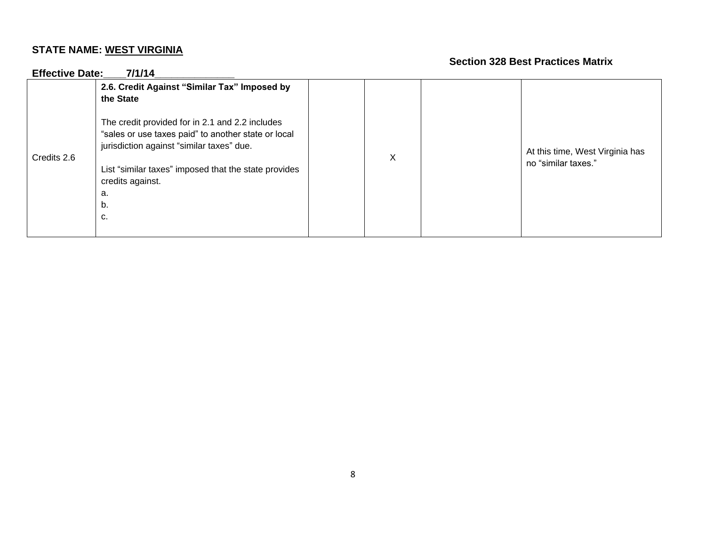| <b>Effective Date:</b> | 7/1/14                                                                                                                                                                                                                                            |   |                                                        |
|------------------------|---------------------------------------------------------------------------------------------------------------------------------------------------------------------------------------------------------------------------------------------------|---|--------------------------------------------------------|
|                        | 2.6. Credit Against "Similar Tax" Imposed by<br>the State                                                                                                                                                                                         |   |                                                        |
| Credits 2.6            | The credit provided for in 2.1 and 2.2 includes<br>"sales or use taxes paid" to another state or local<br>jurisdiction against "similar taxes" due.<br>List "similar taxes" imposed that the state provides<br>credits against.<br>a.<br>b.<br>c. | X | At this time, West Virginia has<br>no "similar taxes." |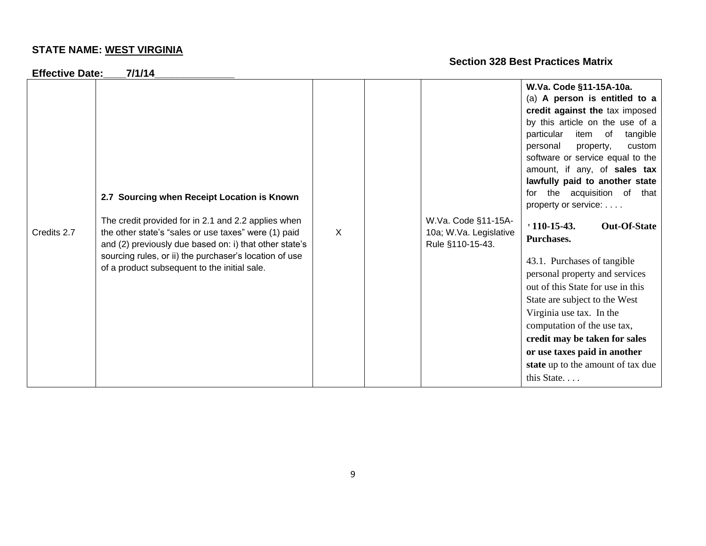| <b>Effective Date:</b> | 7/1/14                                                                                                                                                                                                                                                                                                                         |   |                                                                   |                                                                                                                                                                                                                                                                                                                                                                                                                                                                                                                                                                                                                                                                                                                                               |
|------------------------|--------------------------------------------------------------------------------------------------------------------------------------------------------------------------------------------------------------------------------------------------------------------------------------------------------------------------------|---|-------------------------------------------------------------------|-----------------------------------------------------------------------------------------------------------------------------------------------------------------------------------------------------------------------------------------------------------------------------------------------------------------------------------------------------------------------------------------------------------------------------------------------------------------------------------------------------------------------------------------------------------------------------------------------------------------------------------------------------------------------------------------------------------------------------------------------|
| Credits 2.7            | 2.7 Sourcing when Receipt Location is Known<br>The credit provided for in 2.1 and 2.2 applies when<br>the other state's "sales or use taxes" were (1) paid<br>and (2) previously due based on: i) that other state's<br>sourcing rules, or ii) the purchaser's location of use<br>of a product subsequent to the initial sale. | X | W.Va. Code §11-15A-<br>10a; W.Va. Legislative<br>Rule §110-15-43. | W.Va. Code §11-15A-10a.<br>(a) A person is entitled to a<br>credit against the tax imposed<br>by this article on the use of a<br>particular<br>item of<br>tangible<br>personal<br>custom<br>property,<br>software or service equal to the<br>amount, if any, of sales tax<br>lawfully paid to another state<br>for the acquisition of that<br>property or service:<br>$110-15-43.$<br><b>Out-Of-State</b><br>Purchases.<br>43.1. Purchases of tangible<br>personal property and services<br>out of this State for use in this<br>State are subject to the West<br>Virginia use tax. In the<br>computation of the use tax,<br>credit may be taken for sales<br>or use taxes paid in another<br>state up to the amount of tax due<br>this State |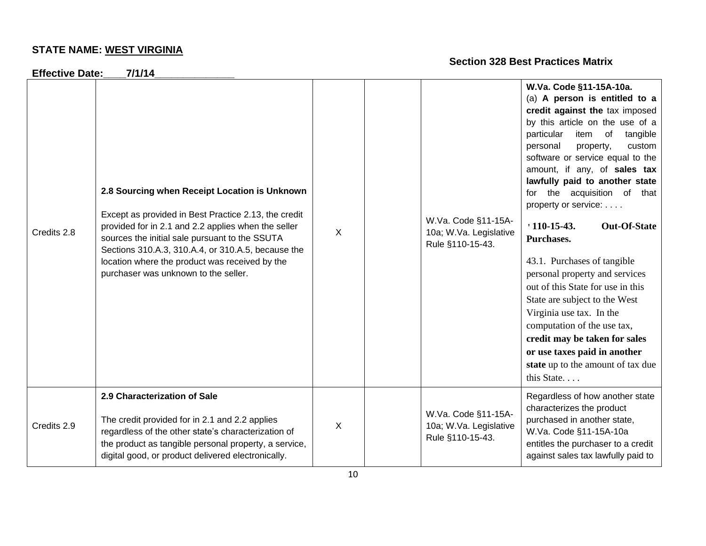| <b>Effective Date:</b> | 7/1/14                                                                                                                                                                                                                                                                                                                                                         |   |                                                                   |                                                                                                                                                                                                                                                                                                                                                                                                                                                                                                                                                                                                                                                                                                                                               |
|------------------------|----------------------------------------------------------------------------------------------------------------------------------------------------------------------------------------------------------------------------------------------------------------------------------------------------------------------------------------------------------------|---|-------------------------------------------------------------------|-----------------------------------------------------------------------------------------------------------------------------------------------------------------------------------------------------------------------------------------------------------------------------------------------------------------------------------------------------------------------------------------------------------------------------------------------------------------------------------------------------------------------------------------------------------------------------------------------------------------------------------------------------------------------------------------------------------------------------------------------|
| Credits 2.8            | 2.8 Sourcing when Receipt Location is Unknown<br>Except as provided in Best Practice 2.13, the credit<br>provided for in 2.1 and 2.2 applies when the seller<br>sources the initial sale pursuant to the SSUTA<br>Sections 310.A.3, 310.A.4, or 310.A.5, because the<br>location where the product was received by the<br>purchaser was unknown to the seller. | X | W.Va. Code §11-15A-<br>10a; W.Va. Legislative<br>Rule §110-15-43. | W.Va. Code §11-15A-10a.<br>(a) A person is entitled to a<br>credit against the tax imposed<br>by this article on the use of a<br>particular<br>item of<br>tangible<br>personal<br>custom<br>property,<br>software or service equal to the<br>amount, if any, of sales tax<br>lawfully paid to another state<br>for the acquisition of that<br>property or service:<br>$110-15-43.$<br><b>Out-Of-State</b><br>Purchases.<br>43.1. Purchases of tangible<br>personal property and services<br>out of this State for use in this<br>State are subject to the West<br>Virginia use tax. In the<br>computation of the use tax,<br>credit may be taken for sales<br>or use taxes paid in another<br>state up to the amount of tax due<br>this State |
| Credits 2.9            | 2.9 Characterization of Sale<br>The credit provided for in 2.1 and 2.2 applies<br>regardless of the other state's characterization of<br>the product as tangible personal property, a service,<br>digital good, or product delivered electronically.                                                                                                           | X | W.Va. Code §11-15A-<br>10a; W.Va. Legislative<br>Rule §110-15-43. | Regardless of how another state<br>characterizes the product<br>purchased in another state,<br>W.Va. Code §11-15A-10a<br>entitles the purchaser to a credit<br>against sales tax lawfully paid to                                                                                                                                                                                                                                                                                                                                                                                                                                                                                                                                             |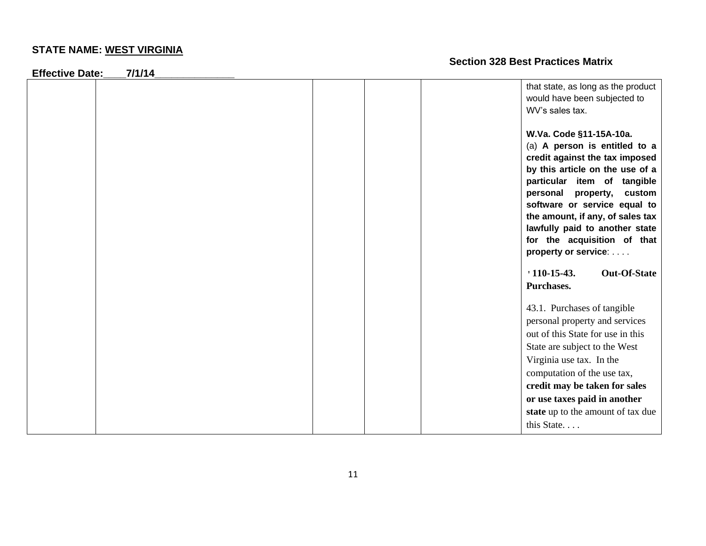**Effective Date:\_\_\_\_7/1/14\_\_\_\_\_\_\_\_\_\_\_\_\_\_**

| <b>L</b> UCUUVU DALU. | ,,,,,, <del>,</del> |                                                                                       |                     |
|-----------------------|---------------------|---------------------------------------------------------------------------------------|---------------------|
|                       |                     | that state, as long as the product<br>would have been subjected to<br>WV's sales tax. |                     |
|                       |                     | W.Va. Code §11-15A-10a.                                                               |                     |
|                       |                     | (a) A person is entitled to a                                                         |                     |
|                       |                     | credit against the tax imposed                                                        |                     |
|                       |                     | by this article on the use of a                                                       |                     |
|                       |                     | particular item of tangible                                                           |                     |
|                       |                     | personal property,                                                                    | custom              |
|                       |                     | software or service equal to                                                          |                     |
|                       |                     | the amount, if any, of sales tax                                                      |                     |
|                       |                     | lawfully paid to another state<br>for the acquisition of that                         |                     |
|                       |                     | property or service:                                                                  |                     |
|                       |                     |                                                                                       |                     |
|                       |                     | $110-15-43.$                                                                          | <b>Out-Of-State</b> |
|                       |                     | Purchases.                                                                            |                     |
|                       |                     |                                                                                       |                     |
|                       |                     | 43.1. Purchases of tangible                                                           |                     |
|                       |                     | personal property and services                                                        |                     |
|                       |                     | out of this State for use in this                                                     |                     |
|                       |                     | State are subject to the West                                                         |                     |
|                       |                     | Virginia use tax. In the                                                              |                     |
|                       |                     | computation of the use tax,                                                           |                     |
|                       |                     | credit may be taken for sales                                                         |                     |
|                       |                     | or use taxes paid in another                                                          |                     |
|                       |                     | state up to the amount of tax due                                                     |                     |
|                       |                     | this State                                                                            |                     |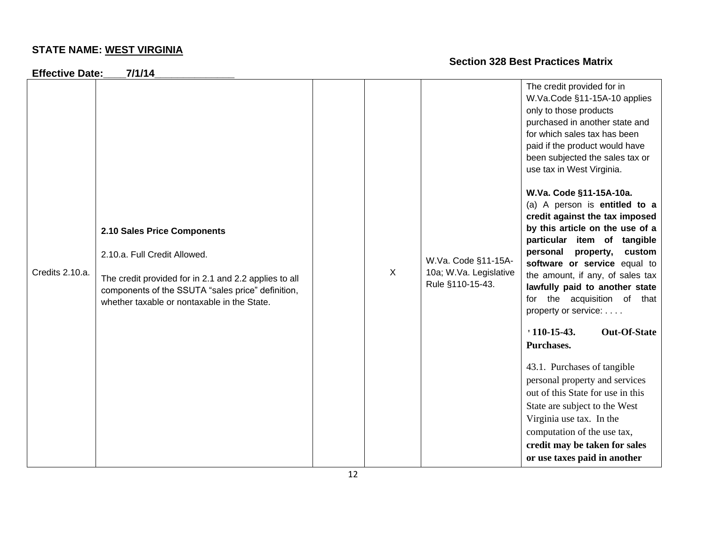**Effective Date:\_\_\_\_7/1/14\_\_\_\_\_\_\_\_\_\_\_\_\_\_** Credits 2.10.a. **2.10 Sales Price Components**  2.10.a. Full Credit Allowed. The credit provided for in 2.1 and 2.2 applies to all components of the SSUTA "sales price" definition, whether taxable or nontaxable in the State. X W.Va. Code §11-15A-10a; W.Va. Legislative Rule §110-15-43. The credit provided for in W.Va.Code §11-15A-10 applies only to those products purchased in another state and for which sales tax has been paid if the product would have been subjected the sales tax or use tax in West Virginia. **W.Va. Code §11-15A-10a.** (a) A person is **entitled to a credit against the tax imposed by this article on the use of a particular item of tangible personal property, custom software or service** equal to the amount, if any, of sales tax **lawfully paid to another state** for the acquisition of that property or service: . . . . **'110-15-43. Out-Of-State Purchases.** 43.1. Purchases of tangible personal property and services out of this State for use in this State are subject to the West Virginia use tax. In the computation of the use tax, **credit may be taken for sales** 

**or use taxes paid in another**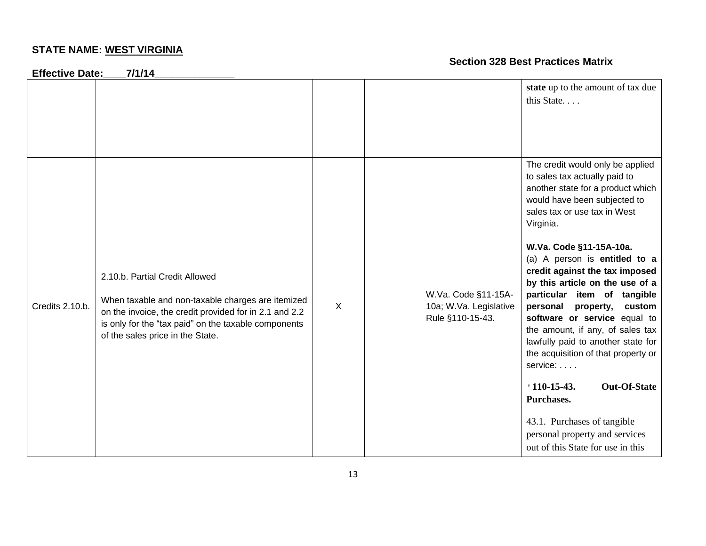| <b>Effective Date:</b> | 7/1/14                                                                                                                                                                                                                                    |   |                                                                   |                                                                                                                                                                                                                                                                                                                                                                                                                                                                                                                                                                                                                                                                                                             |
|------------------------|-------------------------------------------------------------------------------------------------------------------------------------------------------------------------------------------------------------------------------------------|---|-------------------------------------------------------------------|-------------------------------------------------------------------------------------------------------------------------------------------------------------------------------------------------------------------------------------------------------------------------------------------------------------------------------------------------------------------------------------------------------------------------------------------------------------------------------------------------------------------------------------------------------------------------------------------------------------------------------------------------------------------------------------------------------------|
|                        |                                                                                                                                                                                                                                           |   |                                                                   | state up to the amount of tax due<br>this State                                                                                                                                                                                                                                                                                                                                                                                                                                                                                                                                                                                                                                                             |
| Credits 2.10.b.        | 2.10.b. Partial Credit Allowed<br>When taxable and non-taxable charges are itemized<br>on the invoice, the credit provided for in 2.1 and 2.2<br>is only for the "tax paid" on the taxable components<br>of the sales price in the State. | X | W.Va. Code §11-15A-<br>10a; W.Va. Legislative<br>Rule §110-15-43. | The credit would only be applied<br>to sales tax actually paid to<br>another state for a product which<br>would have been subjected to<br>sales tax or use tax in West<br>Virginia.<br>W.Va. Code §11-15A-10a.<br>(a) A person is entitled to a<br>credit against the tax imposed<br>by this article on the use of a<br>particular item of tangible<br>personal property,<br>custom<br>software or service equal to<br>the amount, if any, of sales tax<br>lawfully paid to another state for<br>the acquisition of that property or<br>service:<br>$110-15-43.$<br><b>Out-Of-State</b><br>Purchases.<br>43.1. Purchases of tangible<br>personal property and services<br>out of this State for use in this |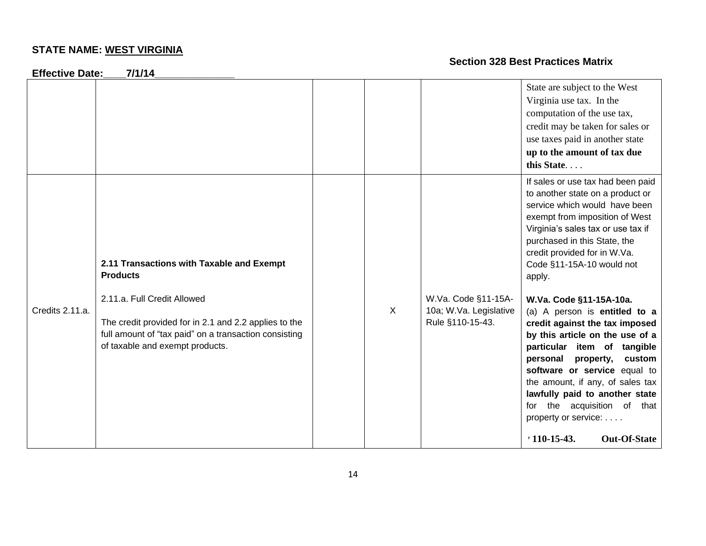**Effective Date:\_\_\_\_7/1/14\_\_\_\_\_\_\_\_\_\_\_\_\_\_**

|                 |                                                                                                                                                                                                                                                  |         |                                                                   | State are subject to the West<br>Virginia use tax. In the<br>computation of the use tax,<br>credit may be taken for sales or<br>use taxes paid in another state<br>up to the amount of tax due<br>this State                                                                                                                                                                                                                                                                                                                                                                                                                                       |
|-----------------|--------------------------------------------------------------------------------------------------------------------------------------------------------------------------------------------------------------------------------------------------|---------|-------------------------------------------------------------------|----------------------------------------------------------------------------------------------------------------------------------------------------------------------------------------------------------------------------------------------------------------------------------------------------------------------------------------------------------------------------------------------------------------------------------------------------------------------------------------------------------------------------------------------------------------------------------------------------------------------------------------------------|
| Credits 2.11.a. | 2.11 Transactions with Taxable and Exempt<br><b>Products</b><br>2.11.a. Full Credit Allowed<br>The credit provided for in 2.1 and 2.2 applies to the<br>full amount of "tax paid" on a transaction consisting<br>of taxable and exempt products. | $\sf X$ | W.Va. Code §11-15A-<br>10a; W.Va. Legislative<br>Rule §110-15-43. | If sales or use tax had been paid<br>to another state on a product or<br>service which would have been<br>exempt from imposition of West<br>Virginia's sales tax or use tax if<br>purchased in this State, the<br>credit provided for in W.Va.<br>Code §11-15A-10 would not<br>apply.<br>W.Va. Code §11-15A-10a.<br>(a) A person is entitled to a<br>credit against the tax imposed<br>by this article on the use of a<br>particular item of tangible<br>personal property,<br>custom<br>software or service equal to<br>the amount, if any, of sales tax<br>lawfully paid to another state<br>for the acquisition of that<br>property or service: |
|                 |                                                                                                                                                                                                                                                  |         |                                                                   | <b>Out-Of-State</b><br>$110-15-43.$                                                                                                                                                                                                                                                                                                                                                                                                                                                                                                                                                                                                                |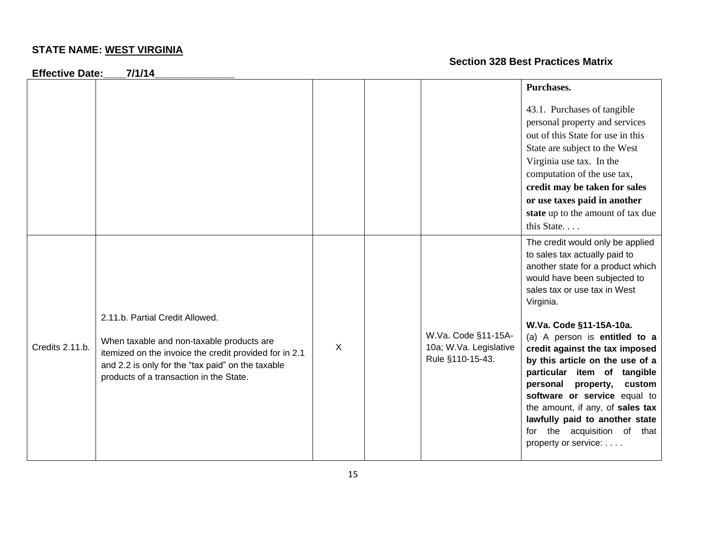**Effective Date:\_\_\_\_7/1/14\_\_\_\_\_\_\_\_\_\_\_\_\_\_**

|                 |                                                                                                                                                                                                                                        |   |                                                                   | Purchases.                                                                                                                                                                                                                                                                                                                                                                                                                                                                                |
|-----------------|----------------------------------------------------------------------------------------------------------------------------------------------------------------------------------------------------------------------------------------|---|-------------------------------------------------------------------|-------------------------------------------------------------------------------------------------------------------------------------------------------------------------------------------------------------------------------------------------------------------------------------------------------------------------------------------------------------------------------------------------------------------------------------------------------------------------------------------|
|                 |                                                                                                                                                                                                                                        |   |                                                                   | 43.1. Purchases of tangible<br>personal property and services<br>out of this State for use in this<br>State are subject to the West<br>Virginia use tax. In the<br>computation of the use tax,<br>credit may be taken for sales<br>or use taxes paid in another<br>state up to the amount of tax due<br>this State                                                                                                                                                                        |
| Credits 2.11.b. | 2.11.b. Partial Credit Allowed.<br>When taxable and non-taxable products are<br>itemized on the invoice the credit provided for in 2.1<br>and 2.2 is only for the "tax paid" on the taxable<br>products of a transaction in the State. | X | W.Va. Code §11-15A-<br>10a; W.Va. Legislative<br>Rule §110-15-43. | The credit would only be applied<br>to sales tax actually paid to<br>another state for a product which<br>would have been subjected to<br>sales tax or use tax in West<br>Virginia.<br>W.Va. Code §11-15A-10a.<br>(a) A person is entitled to a<br>credit against the tax imposed<br>by this article on the use of a<br>particular item of tangible<br>personal property,<br>custom<br>software or service equal to<br>the amount, if any, of sales tax<br>lawfully paid to another state |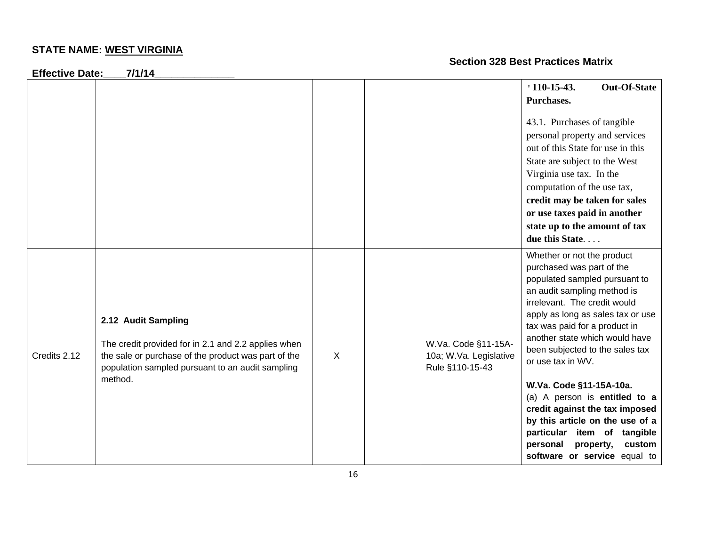**Effective Date:\_\_\_\_7/1/14\_\_\_\_\_\_\_\_\_\_\_\_\_\_**

|              |                                                                                                                                                                                       |   |                                                                  | $110-15-43.$<br>Purchases.                                                                                                                                                                                                                                                                                              | <b>Out-Of-State</b> |
|--------------|---------------------------------------------------------------------------------------------------------------------------------------------------------------------------------------|---|------------------------------------------------------------------|-------------------------------------------------------------------------------------------------------------------------------------------------------------------------------------------------------------------------------------------------------------------------------------------------------------------------|---------------------|
|              |                                                                                                                                                                                       |   |                                                                  | 43.1. Purchases of tangible<br>personal property and services<br>out of this State for use in this<br>State are subject to the West<br>Virginia use tax. In the<br>computation of the use tax,<br>credit may be taken for sales<br>or use taxes paid in another<br>state up to the amount of tax<br>due this State      |                     |
| Credits 2.12 | 2.12 Audit Sampling<br>The credit provided for in 2.1 and 2.2 applies when<br>the sale or purchase of the product was part of the<br>population sampled pursuant to an audit sampling | X | W.Va. Code §11-15A-<br>10a; W.Va. Legislative<br>Rule §110-15-43 | Whether or not the product<br>purchased was part of the<br>populated sampled pursuant to<br>an audit sampling method is<br>irrelevant. The credit would<br>apply as long as sales tax or use<br>tax was paid for a product in<br>another state which would have<br>been subjected to the sales tax<br>or use tax in WV. |                     |
|              | method.                                                                                                                                                                               |   |                                                                  | W.Va. Code §11-15A-10a.<br>(a) A person is entitled to a<br>credit against the tax imposed<br>by this article on the use of a<br>particular item of tangible<br>personal<br>software or service equal to                                                                                                                | custom<br>property, |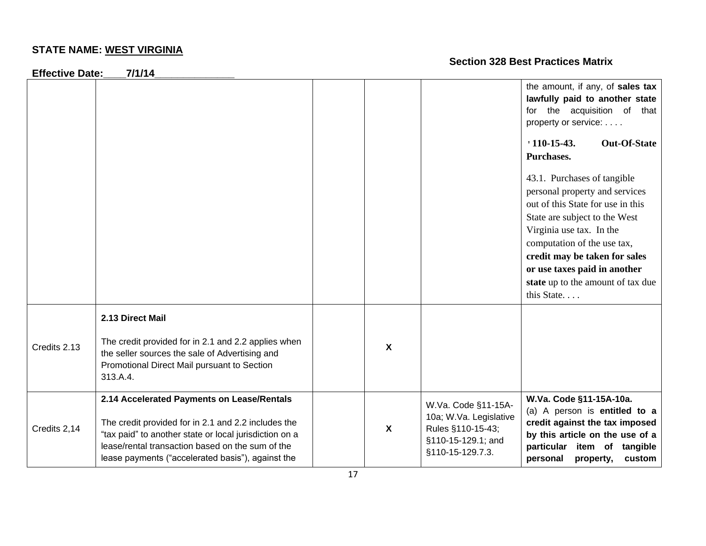**Effective Date:\_\_\_\_7/1/14\_\_\_\_\_\_\_\_\_\_\_\_\_\_**

|              |                                                                                                                                                                                                                                                                      |                           |                                                                                                              | the amount, if any, of sales tax<br>lawfully paid to another state<br>for the acquisition of that<br>property or service:<br>$110-15-43.$<br><b>Out-Of-State</b><br>Purchases.<br>43.1. Purchases of tangible<br>personal property and services<br>out of this State for use in this<br>State are subject to the West<br>Virginia use tax. In the<br>computation of the use tax,<br>credit may be taken for sales<br>or use taxes paid in another<br>state up to the amount of tax due<br>this State |
|--------------|----------------------------------------------------------------------------------------------------------------------------------------------------------------------------------------------------------------------------------------------------------------------|---------------------------|--------------------------------------------------------------------------------------------------------------|------------------------------------------------------------------------------------------------------------------------------------------------------------------------------------------------------------------------------------------------------------------------------------------------------------------------------------------------------------------------------------------------------------------------------------------------------------------------------------------------------|
| Credits 2.13 | 2.13 Direct Mail<br>The credit provided for in 2.1 and 2.2 applies when<br>the seller sources the sale of Advertising and<br>Promotional Direct Mail pursuant to Section<br>313.A.4.                                                                                 | X                         |                                                                                                              |                                                                                                                                                                                                                                                                                                                                                                                                                                                                                                      |
| Credits 2,14 | 2.14 Accelerated Payments on Lease/Rentals<br>The credit provided for in 2.1 and 2.2 includes the<br>"tax paid" to another state or local jurisdiction on a<br>lease/rental transaction based on the sum of the<br>lease payments ("accelerated basis"), against the | $\boldsymbol{\mathsf{X}}$ | W.Va. Code §11-15A-<br>10a; W.Va. Legislative<br>Rules §110-15-43;<br>§110-15-129.1; and<br>§110-15-129.7.3. | W.Va. Code §11-15A-10a.<br>(a) A person is entitled to a<br>credit against the tax imposed<br>by this article on the use of a<br>particular<br>item of<br>tangible<br>personal<br>property,<br>custom                                                                                                                                                                                                                                                                                                |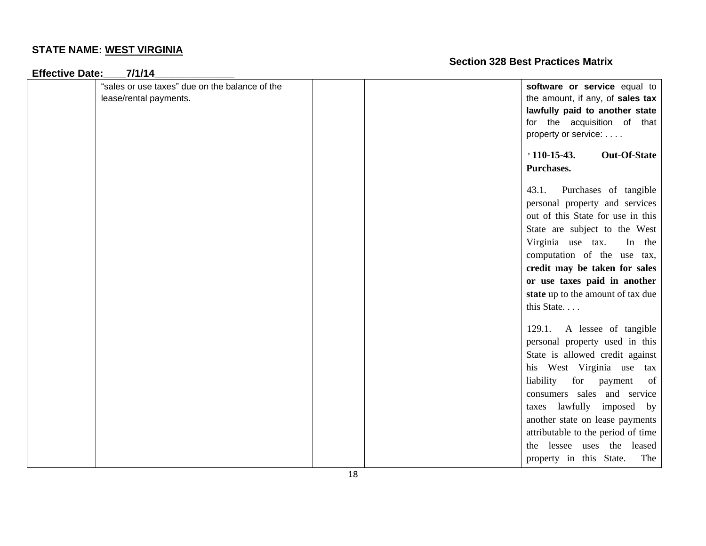| <b>Effective Date:</b><br>7/1/14                                         |                                                                                                                                                                                                                                                                                                                                                                         |
|--------------------------------------------------------------------------|-------------------------------------------------------------------------------------------------------------------------------------------------------------------------------------------------------------------------------------------------------------------------------------------------------------------------------------------------------------------------|
| "sales or use taxes" due on the balance of the<br>lease/rental payments. | software or service equal to<br>the amount, if any, of sales tax<br>lawfully paid to another state<br>for the acquisition of that<br>property or service:                                                                                                                                                                                                               |
|                                                                          | $110-15-43.$<br><b>Out-Of-State</b><br>Purchases.                                                                                                                                                                                                                                                                                                                       |
|                                                                          | 43.1.<br>Purchases of tangible<br>personal property and services<br>out of this State for use in this<br>State are subject to the West<br>Virginia use tax.<br>In the<br>computation of the use tax,<br>credit may be taken for sales<br>or use taxes paid in another<br>state up to the amount of tax due<br>this State                                                |
|                                                                          | 129.1.<br>A lessee of tangible<br>personal property used in this<br>State is allowed credit against<br>his West Virginia use tax<br>for payment<br>liability<br>of<br>consumers sales and service<br>taxes lawfully imposed by<br>another state on lease payments<br>attributable to the period of time<br>the lessee uses the leased<br>property in this State.<br>The |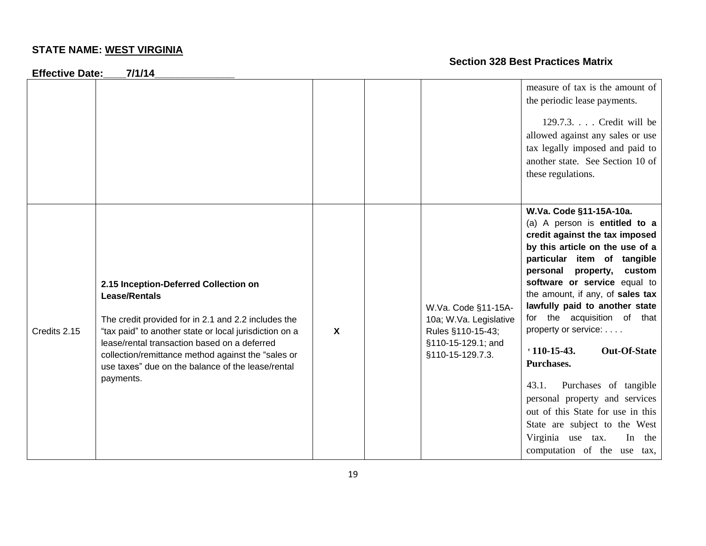**Effective Date:\_\_\_\_7/1/14\_\_\_\_\_\_\_\_\_\_\_\_\_\_**

|              |                                                                                                                                                                                                                                                                                                                                                        |   |                                                                                                              | measure of tax is the amount of<br>the periodic lease payments.<br>$129.7.3.$ Credit will be<br>allowed against any sales or use<br>tax legally imposed and paid to<br>another state. See Section 10 of<br>these regulations.                                                                                                                                                                                                                                                                                                                                                                                          |
|--------------|--------------------------------------------------------------------------------------------------------------------------------------------------------------------------------------------------------------------------------------------------------------------------------------------------------------------------------------------------------|---|--------------------------------------------------------------------------------------------------------------|------------------------------------------------------------------------------------------------------------------------------------------------------------------------------------------------------------------------------------------------------------------------------------------------------------------------------------------------------------------------------------------------------------------------------------------------------------------------------------------------------------------------------------------------------------------------------------------------------------------------|
| Credits 2.15 | 2.15 Inception-Deferred Collection on<br><b>Lease/Rentals</b><br>The credit provided for in 2.1 and 2.2 includes the<br>"tax paid" to another state or local jurisdiction on a<br>lease/rental transaction based on a deferred<br>collection/remittance method against the "sales or<br>use taxes" due on the balance of the lease/rental<br>payments. | X | W.Va. Code §11-15A-<br>10a; W.Va. Legislative<br>Rules §110-15-43;<br>§110-15-129.1; and<br>§110-15-129.7.3. | W.Va. Code §11-15A-10a.<br>(a) A person is entitled to a<br>credit against the tax imposed<br>by this article on the use of a<br>particular item of tangible<br>personal property,<br>custom<br>software or service equal to<br>the amount, if any, of sales tax<br>lawfully paid to another state<br>for the acquisition of that<br>property or service:<br>$110-15-43.$<br><b>Out-Of-State</b><br>Purchases.<br>43.1.<br>Purchases of tangible<br>personal property and services<br>out of this State for use in this<br>State are subject to the West<br>Virginia use tax.<br>In the<br>computation of the use tax, |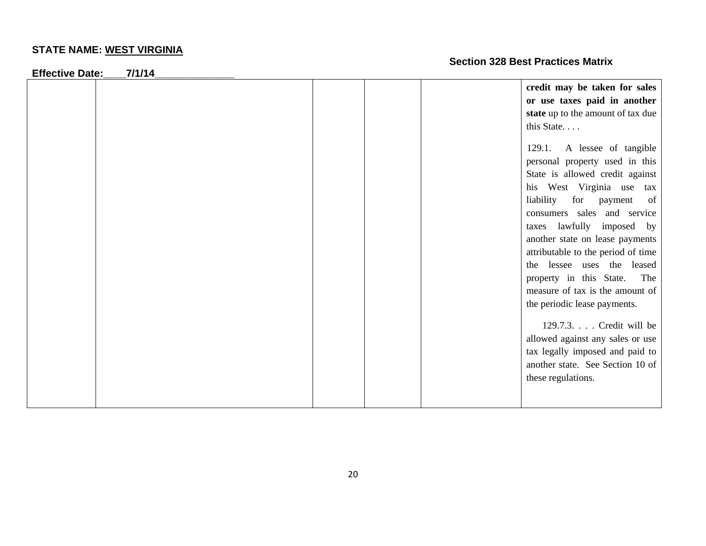**Effective Date:\_\_\_\_7/1/14\_\_\_\_\_\_\_\_\_\_\_\_\_\_**

| -117781177811 | . - |  |                                    |
|---------------|-----|--|------------------------------------|
|               |     |  | credit may be taken for sales      |
|               |     |  | or use taxes paid in another       |
|               |     |  | state up to the amount of tax due  |
|               |     |  | this State                         |
|               |     |  |                                    |
|               |     |  | 129.1. A lessee of tangible        |
|               |     |  | personal property used in this     |
|               |     |  | State is allowed credit against    |
|               |     |  | his West Virginia use<br>tax       |
|               |     |  | liability<br>for<br>of<br>payment  |
|               |     |  | consumers sales and service        |
|               |     |  | taxes lawfully imposed by          |
|               |     |  | another state on lease payments    |
|               |     |  | attributable to the period of time |
|               |     |  | the lessee uses the leased         |
|               |     |  | property in this State.<br>The     |
|               |     |  | measure of tax is the amount of    |
|               |     |  | the periodic lease payments.       |
|               |     |  |                                    |
|               |     |  | 129.7.3. Credit will be            |
|               |     |  | allowed against any sales or use   |
|               |     |  | tax legally imposed and paid to    |
|               |     |  | another state. See Section 10 of   |
|               |     |  | these regulations.                 |
|               |     |  |                                    |
|               |     |  |                                    |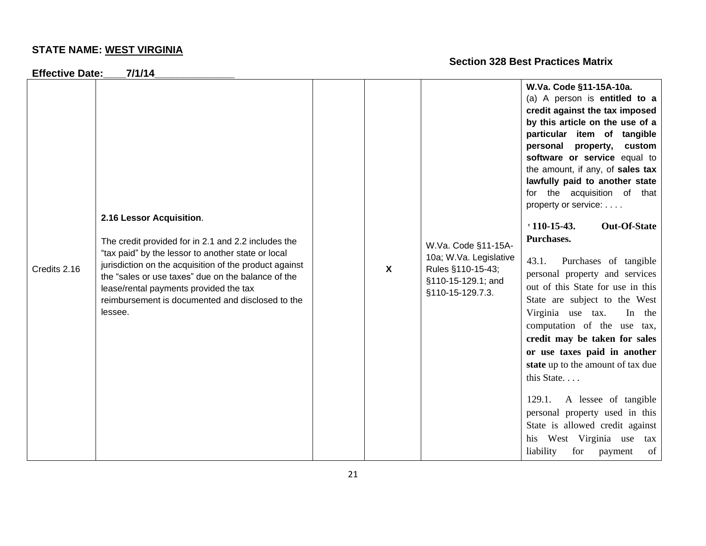**Effective Date:\_\_\_\_7/1/14\_\_\_\_\_\_\_\_\_\_\_\_\_\_**

|              |                                                                                            |   |                        | W.Va. Code §11-15A-10a.                                        |
|--------------|--------------------------------------------------------------------------------------------|---|------------------------|----------------------------------------------------------------|
|              |                                                                                            |   |                        | (a) A person is entitled to a                                  |
|              |                                                                                            |   |                        | credit against the tax imposed                                 |
|              |                                                                                            |   |                        | by this article on the use of a<br>particular item of tangible |
|              |                                                                                            |   |                        | personal<br>property,<br>custom                                |
|              |                                                                                            |   |                        | software or service equal to                                   |
|              |                                                                                            |   |                        | the amount, if any, of sales tax                               |
|              |                                                                                            |   |                        | lawfully paid to another state                                 |
|              |                                                                                            |   |                        | for the acquisition of that                                    |
|              |                                                                                            |   |                        | property or service:                                           |
|              | 2.16 Lessor Acquisition.                                                                   |   |                        |                                                                |
|              |                                                                                            |   |                        | <b>Out-Of-State</b><br>$110-15-43.$                            |
|              | The credit provided for in 2.1 and 2.2 includes the                                        |   | W.Va. Code §11-15A-    | Purchases.                                                     |
|              | "tax paid" by the lessor to another state or local                                         |   | 10a; W.Va. Legislative | 43.1.<br>Purchases of tangible                                 |
| Credits 2.16 | jurisdiction on the acquisition of the product against                                     | X | Rules §110-15-43;      | personal property and services                                 |
|              | the "sales or use taxes" due on the balance of the                                         |   | §110-15-129.1; and     | out of this State for use in this                              |
|              | lease/rental payments provided the tax<br>reimbursement is documented and disclosed to the |   | §110-15-129.7.3.       | State are subject to the West                                  |
|              | lessee.                                                                                    |   |                        | Virginia use tax.<br>In the                                    |
|              |                                                                                            |   |                        | computation of the use tax,                                    |
|              |                                                                                            |   |                        | credit may be taken for sales                                  |
|              |                                                                                            |   |                        | or use taxes paid in another                                   |
|              |                                                                                            |   |                        | state up to the amount of tax due                              |
|              |                                                                                            |   |                        | this State                                                     |
|              |                                                                                            |   |                        |                                                                |
|              |                                                                                            |   |                        | 129.1.<br>A lessee of tangible                                 |
|              |                                                                                            |   |                        | personal property used in this                                 |
|              |                                                                                            |   |                        | State is allowed credit against                                |
|              |                                                                                            |   |                        | West Virginia use<br>his<br>tax                                |
|              |                                                                                            |   |                        | liability<br>of<br>for<br>payment                              |